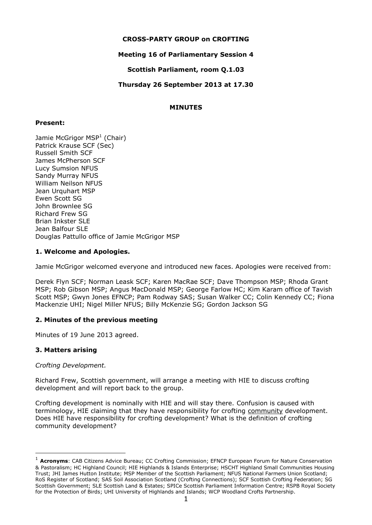# **CROSS-PARTY GROUP on CROFTING**

# **Meeting 16 of Parliamentary Session 4**

**Scottish Parliament, room Q.1.03**

**Thursday 26 September 2013 at 17.30**

# **MINUTES**

## **Present:**

Jamie McGrigor MSP<sup>1</sup> (Chair) Patrick Krause SCF (Sec) Russell Smith SCF James McPherson SCF Lucy Sumsion NFUS Sandy Murray NFUS William Neilson NFUS Jean Urquhart MSP Ewen Scott SG John Brownlee SG Richard Frew SG Brian Inkster SLE Jean Balfour SLE Douglas Pattullo office of Jamie McGrigor MSP

## **1. Welcome and Apologies.**

Jamie McGrigor welcomed everyone and introduced new faces. Apologies were received from:

Derek Flyn SCF; Norman Leask SCF; Karen MacRae SCF; Dave Thompson MSP; Rhoda Grant MSP; Rob Gibson MSP; Angus MacDonald MSP; George Farlow HC; Kim Karam office of Tavish Scott MSP; Gwyn Jones EFNCP; Pam Rodway SAS; Susan Walker CC; Colin Kennedy CC; Fiona Mackenzie UHI; Nigel Miller NFUS; Billy McKenzie SG; Gordon Jackson SG

# **2. Minutes of the previous meeting**

Minutes of 19 June 2013 agreed.

## **3. Matters arising**

-

*Crofting Development.*

Richard Frew, Scottish government, will arrange a meeting with HIE to discuss crofting development and will report back to the group.

Crofting development is nominally with HIE and will stay there. Confusion is caused with terminology, HIE claiming that they have responsibility for crofting community development. Does HIE have responsibility for crofting development? What is the definition of crofting community development?

<sup>1</sup> **Acronyms**: CAB Citizens Advice Bureau; CC Crofting Commission; EFNCP European Forum for Nature Conservation & Pastoralism; HC Highland Council; HIE Highlands & Islands Enterprise; HSCHT Highland Small Communities Housing Trust; JHI James Hutton Institute; MSP Member of the Scottish Parliament; NFUS National Farmers Union Scotland; RoS Register of Scotland; SAS Soil Association Scotland (Crofting Connections); SCF Scottish Crofting Federation; SG Scottish Government; SLE Scottish Land & Estates; SPICe Scottish Parliament Information Centre; RSPB Royal Society for the Protection of Birds; UHI University of Highlands and Islands; WCP Woodland Crofts Partnership.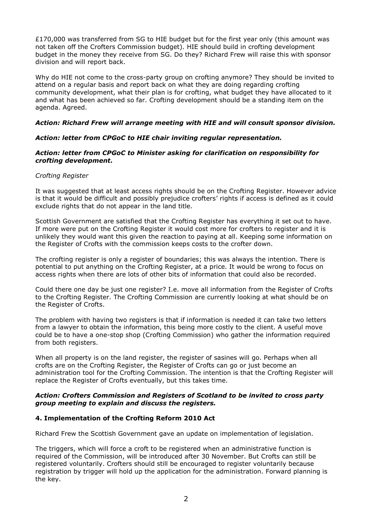£170,000 was transferred from SG to HIE budget but for the first year only (this amount was not taken off the Crofters Commission budget). HIE should build in crofting development budget in the money they receive from SG. Do they? Richard Frew will raise this with sponsor division and will report back.

Why do HIE not come to the cross-party group on crofting anymore? They should be invited to attend on a regular basis and report back on what they are doing regarding crofting community development, what their plan is for crofting, what budget they have allocated to it and what has been achieved so far. Crofting development should be a standing item on the agenda. Agreed.

# *Action: Richard Frew will arrange meeting with HIE and will consult sponsor division.*

# *Action: letter from CPGoC to HIE chair inviting regular representation.*

## *Action: letter from CPGoC to Minister asking for clarification on responsibility for crofting development.*

## *Crofting Register*

It was suggested that at least access rights should be on the Crofting Register. However advice is that it would be difficult and possibly prejudice crofters' rights if access is defined as it could exclude rights that do not appear in the land title.

Scottish Government are satisfied that the Crofting Register has everything it set out to have. If more were put on the Crofting Register it would cost more for crofters to register and it is unlikely they would want this given the reaction to paying at all. Keeping some information on the Register of Crofts with the commission keeps costs to the crofter down.

The crofting register is only a register of boundaries; this was always the intention. There is potential to put anything on the Crofting Register, at a price. It would be wrong to focus on access rights when there are lots of other bits of information that could also be recorded.

Could there one day be just one register? I.e. move all information from the Register of Crofts to the Crofting Register. The Crofting Commission are currently looking at what should be on the Register of Crofts.

The problem with having two registers is that if information is needed it can take two letters from a lawyer to obtain the information, this being more costly to the client. A useful move could be to have a one-stop shop (Crofting Commission) who gather the information required from both registers.

When all property is on the land register, the register of sasines will go. Perhaps when all crofts are on the Crofting Register, the Register of Crofts can go or just become an administration tool for the Crofting Commission. The intention is that the Crofting Register will replace the Register of Crofts eventually, but this takes time.

## *Action: Crofters Commission and Registers of Scotland to be invited to cross party group meeting to explain and discuss the registers.*

# **4. Implementation of the Crofting Reform 2010 Act**

Richard Frew the Scottish Government gave an update on implementation of legislation.

The triggers, which will force a croft to be registered when an administrative function is required of the Commission, will be introduced after 30 November. But Crofts can still be registered voluntarily. Crofters should still be encouraged to register voluntarily because registration by trigger will hold up the application for the administration. Forward planning is the key.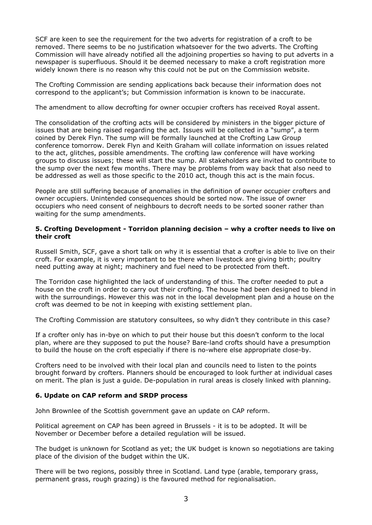SCF are keen to see the requirement for the two adverts for registration of a croft to be removed. There seems to be no justification whatsoever for the two adverts. The Crofting Commission will have already notified all the adjoining properties so having to put adverts in a newspaper is superfluous. Should it be deemed necessary to make a croft registration more widely known there is no reason why this could not be put on the Commission website.

The Crofting Commission are sending applications back because their information does not correspond to the applicant's; but Commission information is known to be inaccurate.

The amendment to allow decrofting for owner occupier crofters has received Royal assent.

The consolidation of the crofting acts will be considered by ministers in the bigger picture of issues that are being raised regarding the act. Issues will be collected in a "sump", a term coined by Derek Flyn. The sump will be formally launched at the Crofting Law Group conference tomorrow. Derek Flyn and Keith Graham will collate information on issues related to the act, glitches, possible amendments. The crofting law conference will have working groups to discuss issues; these will start the sump. All stakeholders are invited to contribute to the sump over the next few months. There may be problems from way back that also need to be addressed as well as those specific to the 2010 act, though this act is the main focus.

People are still suffering because of anomalies in the definition of owner occupier crofters and owner occupiers. Unintended consequences should be sorted now. The issue of owner occupiers who need consent of neighbours to decroft needs to be sorted sooner rather than waiting for the sump amendments.

## **5. Crofting Development - Torridon planning decision – why a crofter needs to live on their croft**

Russell Smith, SCF, gave a short talk on why it is essential that a crofter is able to live on their croft. For example, it is very important to be there when livestock are giving birth; poultry need putting away at night; machinery and fuel need to be protected from theft.

The Torridon case highlighted the lack of understanding of this. The crofter needed to put a house on the croft in order to carry out their crofting. The house had been designed to blend in with the surroundings. However this was not in the local development plan and a house on the croft was deemed to be not in keeping with existing settlement plan.

The Crofting Commission are statutory consultees, so why didn't they contribute in this case?

If a crofter only has in-bye on which to put their house but this doesn't conform to the local plan, where are they supposed to put the house? Bare-land crofts should have a presumption to build the house on the croft especially if there is no-where else appropriate close-by.

Crofters need to be involved with their local plan and councils need to listen to the points brought forward by crofters. Planners should be encouraged to look further at individual cases on merit. The plan is just a guide. De-population in rural areas is closely linked with planning.

## **6. Update on CAP reform and SRDP process**

John Brownlee of the Scottish government gave an update on CAP reform.

Political agreement on CAP has been agreed in Brussels - it is to be adopted. It will be November or December before a detailed regulation will be issued.

The budget is unknown for Scotland as yet; the UK budget is known so negotiations are taking place of the division of the budget within the UK.

There will be two regions, possibly three in Scotland. Land type (arable, temporary grass, permanent grass, rough grazing) is the favoured method for regionalisation.